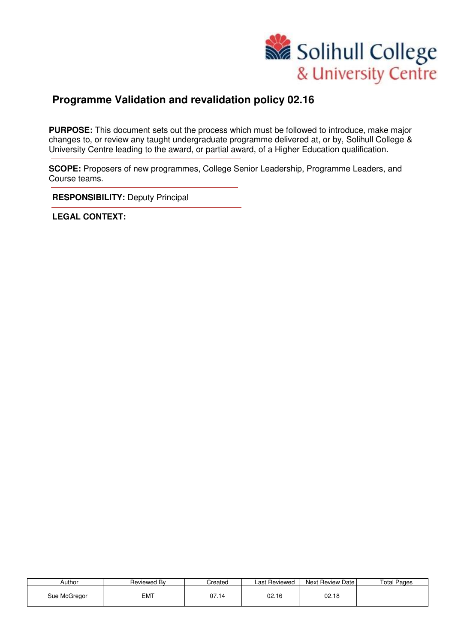

### **Programme Validation and revalidation policy 02.16**

**PURPOSE:** This document sets out the process which must be followed to introduce, make major changes to, or review any taught undergraduate programme delivered at, or by, Solihull College & University Centre leading to the award, or partial award, of a Higher Education qualification.

**SCOPE:** Proposers of new programmes, College Senior Leadership, Programme Leaders, and Course teams.

**RESPONSIBILITY: Deputy Principal** 

**LEGAL CONTEXT:**

| Author       | Reviewed Bv | Created | Last Reviewed | Next Review Date | <b>Total Pages</b> |
|--------------|-------------|---------|---------------|------------------|--------------------|
| Sue McGregor | <b>EMT</b>  | 07.14   | 02.16         | 02.18            |                    |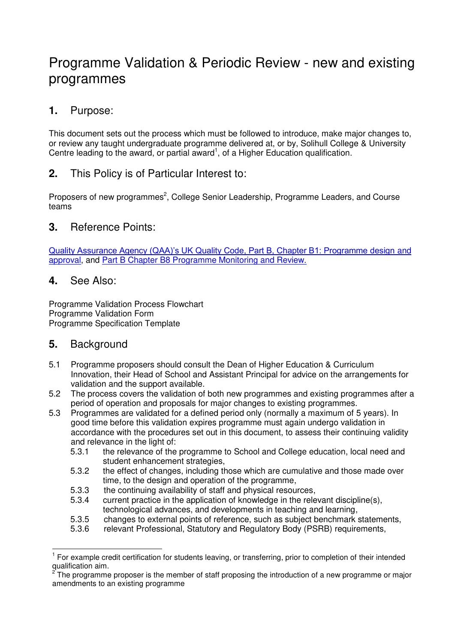# Programme Validation & Periodic Review - new and existing programmes

### **1.** Purpose:

This document sets out the process which must be followed to introduce, make major changes to, or review any taught undergraduate programme delivered at, or by, Solihull College & University Centre leading to the award, or partial award<sup>1</sup>, of a Higher Education qualification.

### **2.** This Policy is of Particular Interest to:

Proposers of new programmes<sup>2</sup>, College Senior Leadership, Programme Leaders, and Course teams

### **3.** Reference Points:

[Quality Assurance Agency \(QAA\)'s UK Quality Code, Part B, Chapter B1: Programme design](http://www.qaa.ac.uk/Publications/InformationAndGuidance/Pages/quality-code-B1.aspx) and [approval,](http://www.qaa.ac.uk/Publications/InformationAndGuidance/Pages/quality-code-B1.aspx) and [Part B Chapter B8 Programme Monitoring and Review.](http://www.qaa.ac.uk/Publications/InformationAndGuidance/Pages/quality-code-B8.aspx) 

### **4.** See Also:

Programme Validation Process Flowchart Programme Validation Form Programme Specification Template

### **5.** Background

- 5.1 Programme proposers should consult the Dean of Higher Education & Curriculum Innovation, their Head of School and Assistant Principal for advice on the arrangements for validation and the support available.
- 5.2 The process covers the validation of both new programmes and existing programmes after a period of operation and proposals for major changes to existing programmes.
- 5.3 Programmes are validated for a defined period only (normally a maximum of 5 years). In good time before this validation expires programme must again undergo validation in accordance with the procedures set out in this document, to assess their continuing validity and relevance in the light of:
	- 5.3.1 the relevance of the programme to School and College education, local need and student enhancement strategies,
	- 5.3.2 the effect of changes, including those which are cumulative and those made over time, to the design and operation of the programme,
	- 5.3.3 the continuing availability of staff and physical resources,
	- 5.3.4 current practice in the application of knowledge in the relevant discipline(s), technological advances, and developments in teaching and learning,
	- 5.3.5 changes to external points of reference, such as subject benchmark statements,
	- 5.3.6 relevant Professional, Statutory and Regulatory Body (PSRB) requirements,

 $\overline{a}$ 1 For example credit certification for students leaving, or transferring, prior to completion of their intended qualification aim.<br><sup>2</sup> The pregramme

The programme proposer is the member of staff proposing the introduction of a new programme or major amendments to an existing programme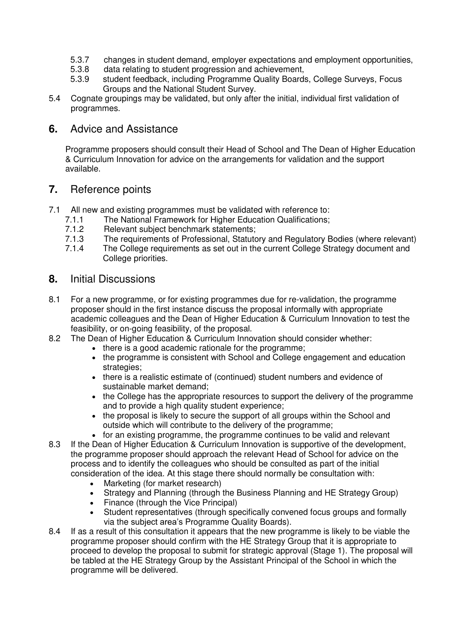- 5.3.7 changes in student demand, employer expectations and employment opportunities,<br>5.3.8 data relating to student progression and achievement.
- data relating to student progression and achievement,
- 5.3.9 student feedback, including Programme Quality Boards, College Surveys, Focus Groups and the National Student Survey.
- 5.4 Cognate groupings may be validated, but only after the initial, individual first validation of programmes.

#### **6.** Advice and Assistance

Programme proposers should consult their Head of School and The Dean of Higher Education & Curriculum Innovation for advice on the arrangements for validation and the support available.

#### **7.** Reference points

- 7.1 All new and existing programmes must be validated with reference to:<br>7.1.1 The National Framework for Higher Education Qualifications:
	- 7.1.1 The National Framework for Higher Education Qualifications;<br>7.1.2 Relevant subiect benchmark statements:
	- 7.1.2 Relevant subject benchmark statements;<br>7.1.3 The requirements of Professional, Statuto
	- 7.1.3 The requirements of Professional, Statutory and Regulatory Bodies (where relevant)<br>7.1.4 The College requirements as set out in the current College Strategy document and
	- The College requirements as set out in the current College Strategy document and College priorities.

#### **8.** Initial Discussions

- 8.1 For a new programme, or for existing programmes due for re-validation, the programme proposer should in the first instance discuss the proposal informally with appropriate academic colleagues and the Dean of Higher Education & Curriculum Innovation to test the feasibility, or on-going feasibility, of the proposal.
- 8.2 The Dean of Higher Education & Curriculum Innovation should consider whether:
	- there is a good academic rationale for the programme;
	- the programme is consistent with School and College engagement and education strategies;
	- there is a realistic estimate of (continued) student numbers and evidence of sustainable market demand;
	- the College has the appropriate resources to support the delivery of the programme and to provide a high quality student experience;
	- the proposal is likely to secure the support of all groups within the School and outside which will contribute to the delivery of the programme;
	- for an existing programme, the programme continues to be valid and relevant
- 8.3 If the Dean of Higher Education & Curriculum Innovation is supportive of the development, the programme proposer should approach the relevant Head of School for advice on the process and to identify the colleagues who should be consulted as part of the initial consideration of the idea. At this stage there should normally be consultation with:
	- Marketing (for market research)
	- Strategy and Planning (through the Business Planning and HE Strategy Group)
	- Finance (through the Vice Principal)
	- Student representatives (through specifically convened focus groups and formally via the subject area's Programme Quality Boards).
- 8.4 If as a result of this consultation it appears that the new programme is likely to be viable the programme proposer should confirm with the HE Strategy Group that it is appropriate to proceed to develop the proposal to submit for strategic approval (Stage 1). The proposal will be tabled at the HE Strategy Group by the Assistant Principal of the School in which the programme will be delivered.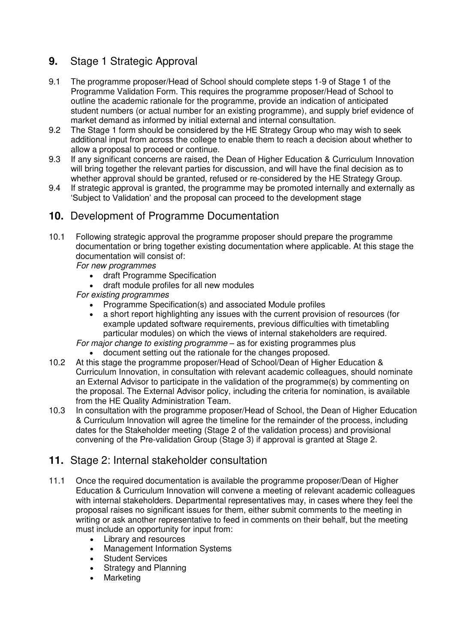### **9.** Stage 1 Strategic Approval

- 9.1 The programme proposer/Head of School should complete steps 1-9 of Stage 1 of the Programme Validation Form. This requires the programme proposer/Head of School to outline the academic rationale for the programme, provide an indication of anticipated student numbers (or actual number for an existing programme), and supply brief evidence of market demand as informed by initial external and internal consultation.
- 9.2 The Stage 1 form should be considered by the HE Strategy Group who may wish to seek additional input from across the college to enable them to reach a decision about whether to allow a proposal to proceed or continue.
- 9.3 If any significant concerns are raised, the Dean of Higher Education & Curriculum Innovation will bring together the relevant parties for discussion, and will have the final decision as to whether approval should be granted, refused or re-considered by the HE Strategy Group.
- 9.4 If strategic approval is granted, the programme may be promoted internally and externally as 'Subject to Validation' and the proposal can proceed to the development stage

### **10.** Development of Programme Documentation

- 10.1 Following strategic approval the programme proposer should prepare the programme documentation or bring together existing documentation where applicable. At this stage the documentation will consist of:
	- *For new programmes* 
		- draft Programme Specification
		- draft module profiles for all new modules

#### *For existing programmes*

- Programme Specification(s) and associated Module profiles
- a short report highlighting any issues with the current provision of resources (for example updated software requirements, previous difficulties with timetabling particular modules) on which the views of internal stakeholders are required.
- *For major change to existing programme as for existing programmes plus* 
	- document setting out the rationale for the changes proposed.
- 10.2 At this stage the programme proposer/Head of School/Dean of Higher Education & Curriculum Innovation, in consultation with relevant academic colleagues, should nominate an External Advisor to participate in the validation of the programme(s) by commenting on the proposal. The External Advisor policy, including the criteria for nomination, is available from the HE Quality Administration Team.
- 10.3 In consultation with the programme proposer/Head of School, the Dean of Higher Education & Curriculum Innovation will agree the timeline for the remainder of the process, including dates for the Stakeholder meeting (Stage 2 of the validation process) and provisional convening of the Pre-validation Group (Stage 3) if approval is granted at Stage 2.

### **11.** Stage 2: Internal stakeholder consultation

- 11.1 Once the required documentation is available the programme proposer/Dean of Higher Education & Curriculum Innovation will convene a meeting of relevant academic colleagues with internal stakeholders. Departmental representatives may, in cases where they feel the proposal raises no significant issues for them, either submit comments to the meeting in writing or ask another representative to feed in comments on their behalf, but the meeting must include an opportunity for input from:
	- Library and resources
	- Management Information Systems
	- Student Services
	- Strategy and Planning
	- Marketing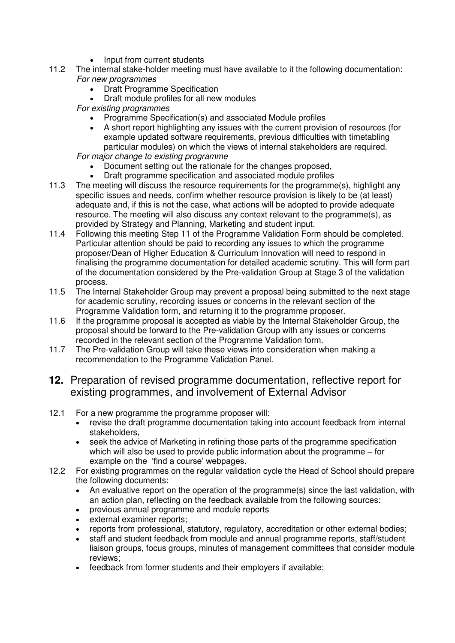- Input from current students
- 11.2 The internal stake-holder meeting must have available to it the following documentation: *For new programmes* 
	- Draft Programme Specification
	- Draft module profiles for all new modules
	- *For existing programmes*
		- Programme Specification(s) and associated Module profiles
		- A short report highlighting any issues with the current provision of resources (for example updated software requirements, previous difficulties with timetabling particular modules) on which the views of internal stakeholders are required.

*For major change to existing programme*

- Document setting out the rationale for the changes proposed,
- Draft programme specification and associated module profiles
- 11.3 The meeting will discuss the resource requirements for the programme(s), highlight any specific issues and needs, confirm whether resource provision is likely to be (at least) adequate and, if this is not the case, what actions will be adopted to provide adequate resource. The meeting will also discuss any context relevant to the programme(s), as provided by Strategy and Planning, Marketing and student input.
- 11.4 Following this meeting Step 11 of the Programme Validation Form should be completed. Particular attention should be paid to recording any issues to which the programme proposer/Dean of Higher Education & Curriculum Innovation will need to respond in finalising the programme documentation for detailed academic scrutiny. This will form part of the documentation considered by the Pre-validation Group at Stage 3 of the validation process.
- 11.5 The Internal Stakeholder Group may prevent a proposal being submitted to the next stage for academic scrutiny, recording issues or concerns in the relevant section of the Programme Validation form, and returning it to the programme proposer.
- 11.6 If the programme proposal is accepted as viable by the Internal Stakeholder Group, the proposal should be forward to the Pre-validation Group with any issues or concerns recorded in the relevant section of the Programme Validation form.
- 11.7 The Pre-validation Group will take these views into consideration when making a recommendation to the Programme Validation Panel.

### **12.** Preparation of revised programme documentation, reflective report for existing programmes, and involvement of External Advisor

- 12.1 For a new programme the programme proposer will:
	- revise the draft programme documentation taking into account feedback from internal stakeholders,
	- seek the advice of Marketing in refining those parts of the programme specification which will also be used to provide public information about the programme – for example on the 'find a course' webpages.
- 12.2 For existing programmes on the regular validation cycle the Head of School should prepare the following documents:
	- An evaluative report on the operation of the programme(s) since the last validation, with an action plan, reflecting on the feedback available from the following sources:
	- previous annual programme and module reports
	- external examiner reports;
	- reports from professional, statutory, regulatory, accreditation or other external bodies;
	- staff and student feedback from module and annual programme reports, staff/student liaison groups, focus groups, minutes of management committees that consider module reviews;
	- feedback from former students and their employers if available;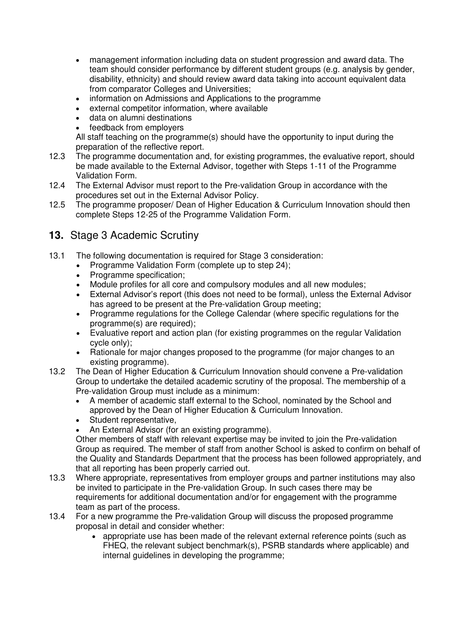- management information including data on student progression and award data. The team should consider performance by different student groups (e.g. analysis by gender, disability, ethnicity) and should review award data taking into account equivalent data from comparator Colleges and Universities;
- information on Admissions and Applications to the programme
- external competitor information, where available
- data on alumni destinations
- feedback from employers

All staff teaching on the programme(s) should have the opportunity to input during the preparation of the reflective report.

- 12.3 The programme documentation and, for existing programmes, the evaluative report, should be made available to the External Advisor, together with Steps 1-11 of the Programme Validation Form.
- 12.4 The External Advisor must report to the Pre-validation Group in accordance with the procedures set out in the External Advisor Policy.
- 12.5 The programme proposer/ Dean of Higher Education & Curriculum Innovation should then complete Steps 12-25 of the Programme Validation Form.

### **13.** Stage 3 Academic Scrutiny

- 13.1 The following documentation is required for Stage 3 consideration:
	- Programme Validation Form (complete up to step 24);
	- Programme specification;
	- Module profiles for all core and compulsory modules and all new modules;
	- External Advisor's report (this does not need to be formal), unless the External Advisor has agreed to be present at the Pre-validation Group meeting;
	- Programme regulations for the College Calendar (where specific regulations for the programme(s) are required);
	- Evaluative report and action plan (for existing programmes on the regular Validation cycle only);
	- Rationale for major changes proposed to the programme (for major changes to an existing programme).
- 13.2 The Dean of Higher Education & Curriculum Innovation should convene a Pre-validation Group to undertake the detailed academic scrutiny of the proposal. The membership of a Pre-validation Group must include as a minimum:
	- A member of academic staff external to the School, nominated by the School and approved by the Dean of Higher Education & Curriculum Innovation.
	- Student representative,
	- An External Advisor (for an existing programme).

Other members of staff with relevant expertise may be invited to join the Pre-validation Group as required. The member of staff from another School is asked to confirm on behalf of the Quality and Standards Department that the process has been followed appropriately, and that all reporting has been properly carried out.

- 13.3 Where appropriate, representatives from employer groups and partner institutions may also be invited to participate in the Pre-validation Group. In such cases there may be requirements for additional documentation and/or for engagement with the programme team as part of the process.
- 13.4 For a new programme the Pre-validation Group will discuss the proposed programme proposal in detail and consider whether:
	- appropriate use has been made of the relevant external reference points (such as FHEQ, the relevant subject benchmark(s), PSRB standards where applicable) and internal guidelines in developing the programme;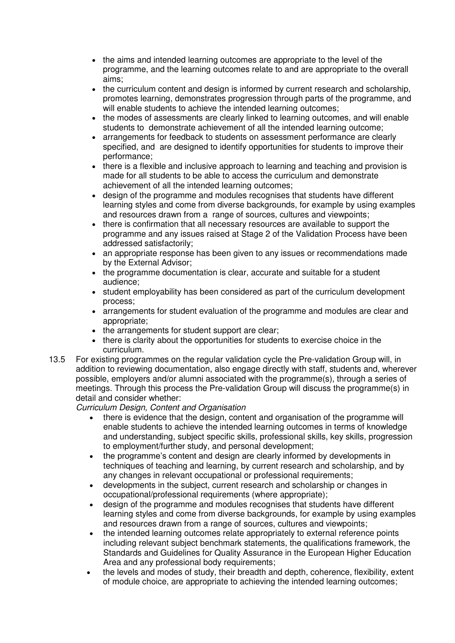- the aims and intended learning outcomes are appropriate to the level of the programme, and the learning outcomes relate to and are appropriate to the overall aims;
- the curriculum content and design is informed by current research and scholarship, promotes learning, demonstrates progression through parts of the programme, and will enable students to achieve the intended learning outcomes;
- the modes of assessments are clearly linked to learning outcomes, and will enable students to demonstrate achievement of all the intended learning outcome;
- arrangements for feedback to students on assessment performance are clearly specified, and are designed to identify opportunities for students to improve their performance;
- there is a flexible and inclusive approach to learning and teaching and provision is made for all students to be able to access the curriculum and demonstrate achievement of all the intended learning outcomes;
- design of the programme and modules recognises that students have different learning styles and come from diverse backgrounds, for example by using examples and resources drawn from a range of sources, cultures and viewpoints;
- there is confirmation that all necessary resources are available to support the programme and any issues raised at Stage 2 of the Validation Process have been addressed satisfactorily;
- an appropriate response has been given to any issues or recommendations made by the External Advisor;
- the programme documentation is clear, accurate and suitable for a student audience;
- student employability has been considered as part of the curriculum development process;
- arrangements for student evaluation of the programme and modules are clear and appropriate;
- the arrangements for student support are clear;
- there is clarity about the opportunities for students to exercise choice in the curriculum.
- 13.5 For existing programmes on the regular validation cycle the Pre-validation Group will, in addition to reviewing documentation, also engage directly with staff, students and, wherever possible, employers and/or alumni associated with the programme(s), through a series of meetings. Through this process the Pre-validation Group will discuss the programme(s) in detail and consider whether:

*Curriculum Design, Content and Organisation*

- there is evidence that the design, content and organisation of the programme will enable students to achieve the intended learning outcomes in terms of knowledge and understanding, subject specific skills, professional skills, key skills, progression to employment/further study, and personal development;
- the programme's content and design are clearly informed by developments in techniques of teaching and learning, by current research and scholarship, and by any changes in relevant occupational or professional requirements;
- developments in the subject, current research and scholarship or changes in occupational/professional requirements (where appropriate);
- design of the programme and modules recognises that students have different learning styles and come from diverse backgrounds, for example by using examples and resources drawn from a range of sources, cultures and viewpoints;
- the intended learning outcomes relate appropriately to external reference points including relevant subject benchmark statements, the qualifications framework, the Standards and Guidelines for Quality Assurance in the European Higher Education Area and any professional body requirements;
- the levels and modes of study, their breadth and depth, coherence, flexibility, extent of module choice, are appropriate to achieving the intended learning outcomes;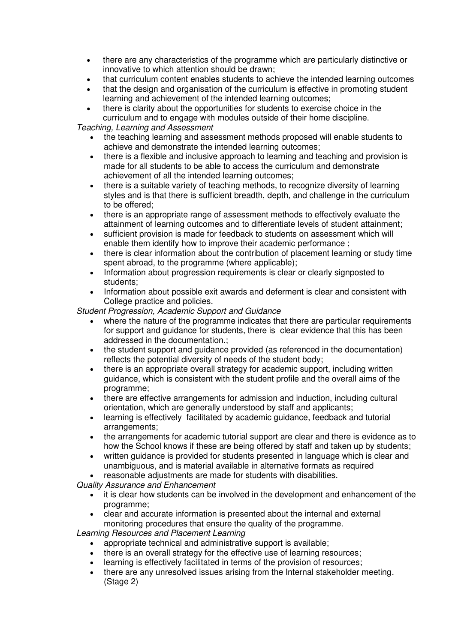- there are any characteristics of the programme which are particularly distinctive or innovative to which attention should be drawn;
- that curriculum content enables students to achieve the intended learning outcomes
- that the design and organisation of the curriculum is effective in promoting student learning and achievement of the intended learning outcomes;
- there is clarity about the opportunities for students to exercise choice in the curriculum and to engage with modules outside of their home discipline.

*Teaching, Learning and Assessment*

- the teaching learning and assessment methods proposed will enable students to achieve and demonstrate the intended learning outcomes;
- there is a flexible and inclusive approach to learning and teaching and provision is made for all students to be able to access the curriculum and demonstrate achievement of all the intended learning outcomes;
- there is a suitable variety of teaching methods, to recognize diversity of learning styles and is that there is sufficient breadth, depth, and challenge in the curriculum to be offered;
- there is an appropriate range of assessment methods to effectively evaluate the attainment of learning outcomes and to differentiate levels of student attainment;
- sufficient provision is made for feedback to students on assessment which will enable them identify how to improve their academic performance ;
- there is clear information about the contribution of placement learning or study time spent abroad, to the programme (where applicable);
- Information about progression requirements is clear or clearly signposted to students;
- Information about possible exit awards and deferment is clear and consistent with College practice and policies.

*Student Progression, Academic Support and Guidance*

- where the nature of the programme indicates that there are particular requirements for support and guidance for students, there is clear evidence that this has been addressed in the documentation.;
- the student support and guidance provided (as referenced in the documentation) reflects the potential diversity of needs of the student body;
- there is an appropriate overall strategy for academic support, including written guidance, which is consistent with the student profile and the overall aims of the programme;
- there are effective arrangements for admission and induction, including cultural orientation, which are generally understood by staff and applicants;
- learning is effectively facilitated by academic guidance, feedback and tutorial arrangements;
- the arrangements for academic tutorial support are clear and there is evidence as to how the School knows if these are being offered by staff and taken up by students;
- written guidance is provided for students presented in language which is clear and unambiguous, and is material available in alternative formats as required
- reasonable adjustments are made for students with disabilities.

*Quality Assurance and Enhancement*

- it is clear how students can be involved in the development and enhancement of the programme;
- clear and accurate information is presented about the internal and external monitoring procedures that ensure the quality of the programme.

*Learning Resources and Placement Learning*

- appropriate technical and administrative support is available;
- there is an overall strategy for the effective use of learning resources;
- learning is effectively facilitated in terms of the provision of resources;
- there are any unresolved issues arising from the Internal stakeholder meeting. (Stage 2)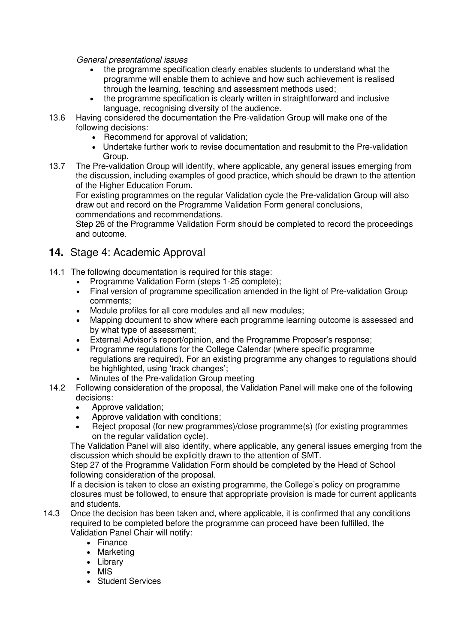*General presentational issues*

- the programme specification clearly enables students to understand what the programme will enable them to achieve and how such achievement is realised through the learning, teaching and assessment methods used;
- the programme specification is clearly written in straightforward and inclusive language, recognising diversity of the audience.
- 13.6 Having considered the documentation the Pre-validation Group will make one of the following decisions:
	- Recommend for approval of validation;
	- Undertake further work to revise documentation and resubmit to the Pre-validation Group.
- 13.7 The Pre-validation Group will identify, where applicable, any general issues emerging from the discussion, including examples of good practice, which should be drawn to the attention of the Higher Education Forum.

For existing programmes on the regular Validation cycle the Pre-validation Group will also draw out and record on the Programme Validation Form general conclusions, commendations and recommendations.

Step 26 of the Programme Validation Form should be completed to record the proceedings and outcome.

### **14.** Stage 4: Academic Approval

- 14.1 The following documentation is required for this stage:
	- Programme Validation Form (steps 1-25 complete);
	- Final version of programme specification amended in the light of Pre-validation Group comments;
	- Module profiles for all core modules and all new modules;
	- Mapping document to show where each programme learning outcome is assessed and by what type of assessment;
	- External Advisor's report/opinion, and the Programme Proposer's response;
	- Programme regulations for the College Calendar (where specific programme regulations are required). For an existing programme any changes to regulations should be highlighted, using 'track changes';
	- Minutes of the Pre-validation Group meeting
- 14.2 Following consideration of the proposal, the Validation Panel will make one of the following decisions:
	- Approve validation:
	- Approve validation with conditions;
	- Reject proposal (for new programmes)/close programme(s) (for existing programmes on the regular validation cycle).

The Validation Panel will also identify, where applicable, any general issues emerging from the discussion which should be explicitly drawn to the attention of SMT.

Step 27 of the Programme Validation Form should be completed by the Head of School following consideration of the proposal.

If a decision is taken to close an existing programme, the College's policy on programme closures must be followed, to ensure that appropriate provision is made for current applicants and students.

- 14.3 Once the decision has been taken and, where applicable, it is confirmed that any conditions required to be completed before the programme can proceed have been fulfilled, the Validation Panel Chair will notify:
	- Finance
	- Marketing
	- Library
	- MIS
	- Student Services